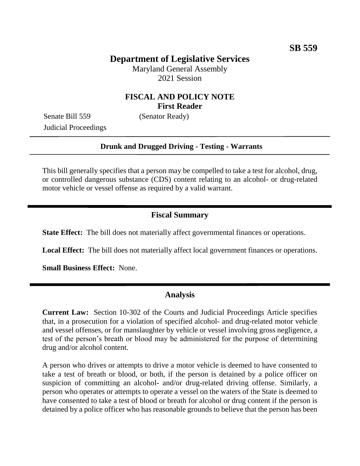## **Department of Legislative Services**

Maryland General Assembly 2021 Session

### **FISCAL AND POLICY NOTE First Reader**

Senate Bill 559 (Senator Ready) Judicial Proceedings

#### **Drunk and Drugged Driving - Testing - Warrants**

This bill generally specifies that a person may be compelled to take a test for alcohol, drug, or controlled dangerous substance (CDS) content relating to an alcohol- or drug-related motor vehicle or vessel offense as required by a valid warrant.

### **Fiscal Summary**

**State Effect:** The bill does not materially affect governmental finances or operations.

**Local Effect:** The bill does not materially affect local government finances or operations.

**Small Business Effect:** None.

#### **Analysis**

**Current Law:** Section 10-302 of the Courts and Judicial Proceedings Article specifies that, in a prosecution for a violation of specified alcohol- and drug-related motor vehicle and vessel offenses, or for manslaughter by vehicle or vessel involving gross negligence, a test of the person's breath or blood may be administered for the purpose of determining drug and/or alcohol content.

A person who drives or attempts to drive a motor vehicle is deemed to have consented to take a test of breath or blood, or both, if the person is detained by a police officer on suspicion of committing an alcohol- and/or drug-related driving offense. Similarly, a person who operates or attempts to operate a vessel on the waters of the State is deemed to have consented to take a test of blood or breath for alcohol or drug content if the person is detained by a police officer who has reasonable grounds to believe that the person has been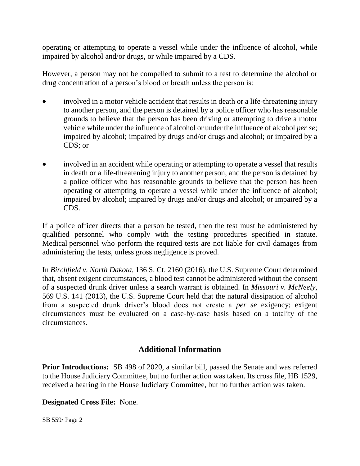operating or attempting to operate a vessel while under the influence of alcohol, while impaired by alcohol and/or drugs, or while impaired by a CDS.

However, a person may not be compelled to submit to a test to determine the alcohol or drug concentration of a person's blood or breath unless the person is:

- involved in a motor vehicle accident that results in death or a life-threatening injury to another person, and the person is detained by a police officer who has reasonable grounds to believe that the person has been driving or attempting to drive a motor vehicle while under the influence of alcohol or under the influence of alcohol *per se*; impaired by alcohol; impaired by drugs and/or drugs and alcohol; or impaired by a CDS; or
- involved in an accident while operating or attempting to operate a vessel that results in death or a life-threatening injury to another person, and the person is detained by a police officer who has reasonable grounds to believe that the person has been operating or attempting to operate a vessel while under the influence of alcohol; impaired by alcohol; impaired by drugs and/or drugs and alcohol; or impaired by a CDS.

If a police officer directs that a person be tested, then the test must be administered by qualified personnel who comply with the testing procedures specified in statute. Medical personnel who perform the required tests are not liable for civil damages from administering the tests, unless gross negligence is proved.

In *Birchfield v. North Dakota,* 136 S. Ct. 2160 (2016), the U.S. Supreme Court determined that, absent exigent circumstances, a blood test cannot be administered without the consent of a suspected drunk driver unless a search warrant is obtained. In *Missouri v. McNeely,* 569 U.S. 141 (2013), the U.S. Supreme Court held that the natural dissipation of alcohol from a suspected drunk driver's blood does not create a *per se* exigency; exigent circumstances must be evaluated on a case-by-case basis based on a totality of the circumstances.

# **Additional Information**

**Prior Introductions:** SB 498 of 2020, a similar bill, passed the Senate and was referred to the House Judiciary Committee, but no further action was taken. Its cross file, HB 1529, received a hearing in the House Judiciary Committee, but no further action was taken.

### **Designated Cross File:** None.

SB 559/ Page 2